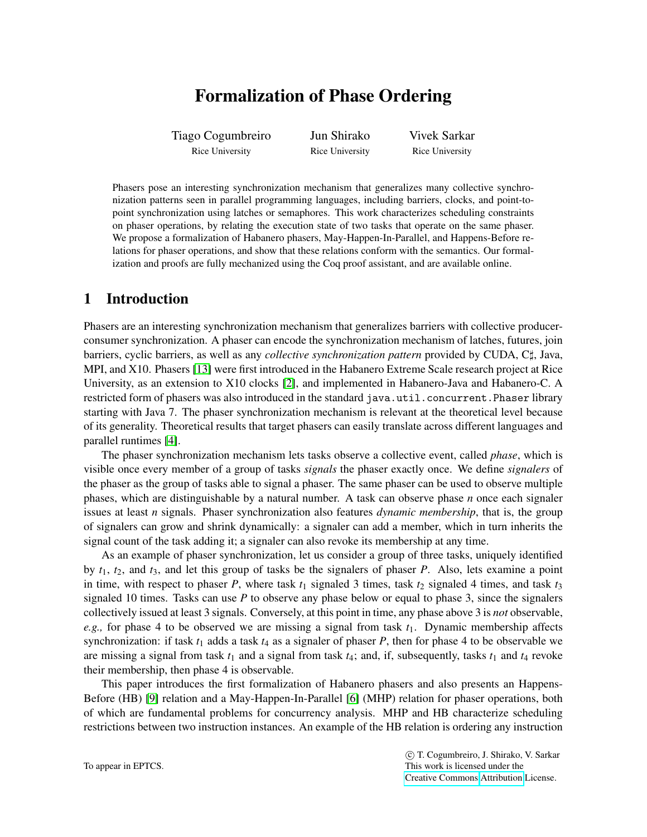# Formalization of Phase Ordering

Tiago Cogumbreiro Rice University Jun Shirako Rice University Vivek Sarkar Rice University

Phasers pose an interesting synchronization mechanism that generalizes many collective synchronization patterns seen in parallel programming languages, including barriers, clocks, and point-topoint synchronization using latches or semaphores. This work characterizes scheduling constraints on phaser operations, by relating the execution state of two tasks that operate on the same phaser. We propose a formalization of Habanero phasers, May-Happen-In-Parallel, and Happens-Before relations for phaser operations, and show that these relations conform with the semantics. Our formalization and proofs are fully mechanized using the Coq proof assistant, and are available online.

## 1 Introduction

Phasers are an interesting synchronization mechanism that generalizes barriers with collective producerconsumer synchronization. A phaser can encode the synchronization mechanism of latches, futures, join barriers, cyclic barriers, as well as any *collective synchronization pattern* provided by CUDA, C], Java, MPI, and X10. Phasers [\[13\]](#page-7-0) were first introduced in the Habanero Extreme Scale research project at Rice University, as an extension to X10 clocks [\[2\]](#page-7-1), and implemented in Habanero-Java and Habanero-C. A restricted form of phasers was also introduced in the standard java.util.concurrent.Phaser library starting with Java 7. The phaser synchronization mechanism is relevant at the theoretical level because of its generality. Theoretical results that target phasers can easily translate across different languages and parallel runtimes [\[4\]](#page-7-2).

The phaser synchronization mechanism lets tasks observe a collective event, called *phase*, which is visible once every member of a group of tasks *signals* the phaser exactly once. We define *signalers* of the phaser as the group of tasks able to signal a phaser. The same phaser can be used to observe multiple phases, which are distinguishable by a natural number. A task can observe phase *n* once each signaler issues at least *n* signals. Phaser synchronization also features *dynamic membership*, that is, the group of signalers can grow and shrink dynamically: a signaler can add a member, which in turn inherits the signal count of the task adding it; a signaler can also revoke its membership at any time.

As an example of phaser synchronization, let us consider a group of three tasks, uniquely identified by *t*1, *t*2, and *t*3, and let this group of tasks be the signalers of phaser *P*. Also, lets examine a point in time, with respect to phaser *P*, where task  $t_1$  signaled 3 times, task  $t_2$  signaled 4 times, and task  $t_3$ signaled 10 times. Tasks can use *P* to observe any phase below or equal to phase 3, since the signalers collectively issued at least 3 signals. Conversely, at this point in time, any phase above 3 is *not* observable, *e.g.,* for phase 4 to be observed we are missing a signal from task *t*1. Dynamic membership affects synchronization: if task  $t_1$  adds a task  $t_4$  as a signaler of phaser  $P$ , then for phase 4 to be observable we are missing a signal from task  $t_1$  and a signal from task  $t_4$ ; and, if, subsequently, tasks  $t_1$  and  $t_4$  revoke their membership, then phase 4 is observable.

This paper introduces the first formalization of Habanero phasers and also presents an Happens-Before (HB) [\[9\]](#page-7-3) relation and a May-Happen-In-Parallel [\[6\]](#page-7-4) (MHP) relation for phaser operations, both of which are fundamental problems for concurrency analysis. MHP and HB characterize scheduling restrictions between two instruction instances. An example of the HB relation is ordering any instruction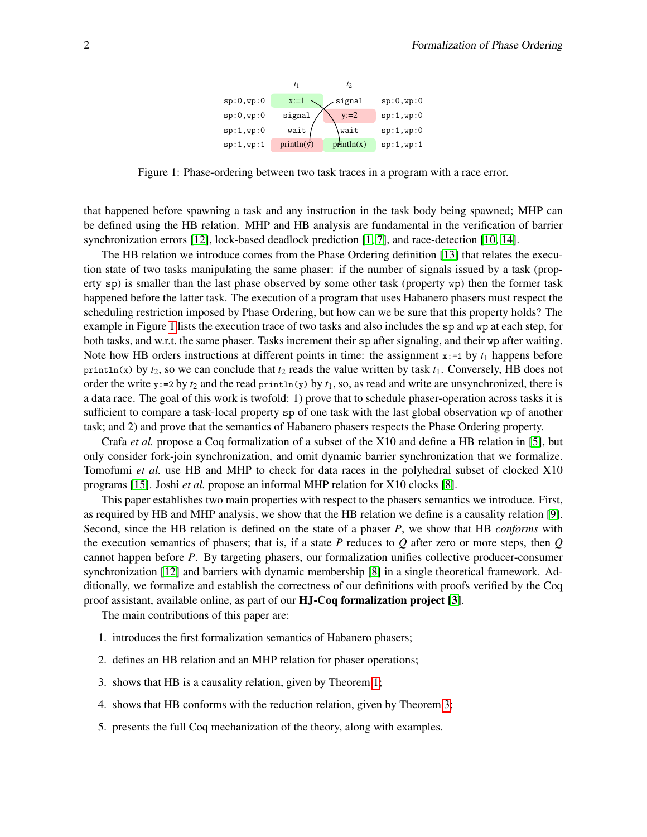

<span id="page-1-0"></span>Figure 1: Phase-ordering between two task traces in a program with a race error.

that happened before spawning a task and any instruction in the task body being spawned; MHP can be defined using the HB relation. MHP and HB analysis are fundamental in the verification of barrier synchronization errors [\[12\]](#page-7-5), lock-based deadlock prediction [\[1,](#page-7-6) [7\]](#page-7-7), and race-detection [\[10,](#page-7-8) [14\]](#page-7-9).

The HB relation we introduce comes from the Phase Ordering definition [\[13\]](#page-7-0) that relates the execution state of two tasks manipulating the same phaser: if the number of signals issued by a task (property sp) is smaller than the last phase observed by some other task (property wp) then the former task happened before the latter task. The execution of a program that uses Habanero phasers must respect the scheduling restriction imposed by Phase Ordering, but how can we be sure that this property holds? The example in Figure [1](#page-1-0) lists the execution trace of two tasks and also includes the sp and wp at each step, for both tasks, and w.r.t. the same phaser. Tasks increment their sp after signaling, and their wp after waiting. Note how HB orders instructions at different points in time: the assignment  $x:=1$  by  $t_1$  happens before println(x) by  $t_2$ , so we can conclude that  $t_2$  reads the value written by task  $t_1$ . Conversely, HB does not order the write  $y:=2$  by  $t_2$  and the read println(y) by  $t_1$ , so, as read and write are unsynchronized, there is a data race. The goal of this work is twofold: 1) prove that to schedule phaser-operation across tasks it is sufficient to compare a task-local property sp of one task with the last global observation wp of another task; and 2) and prove that the semantics of Habanero phasers respects the Phase Ordering property.

Crafa *et al.* propose a Coq formalization of a subset of the X10 and define a HB relation in [\[5\]](#page-7-10), but only consider fork-join synchronization, and omit dynamic barrier synchronization that we formalize. Tomofumi *et al.* use HB and MHP to check for data races in the polyhedral subset of clocked X10 programs [\[15\]](#page-7-11). Joshi *et al.* propose an informal MHP relation for X10 clocks [\[8\]](#page-7-12).

This paper establishes two main properties with respect to the phasers semantics we introduce. First, as required by HB and MHP analysis, we show that the HB relation we define is a causality relation [\[9\]](#page-7-3). Second, since the HB relation is defined on the state of a phaser *P*, we show that HB *conforms* with the execution semantics of phasers; that is, if a state *P* reduces to *Q* after zero or more steps, then *Q* cannot happen before *P*. By targeting phasers, our formalization unifies collective producer-consumer synchronization [\[12\]](#page-7-5) and barriers with dynamic membership [\[8\]](#page-7-12) in a single theoretical framework. Additionally, we formalize and establish the correctness of our definitions with proofs verified by the Coq proof assistant, available online, as part of our HJ-Coq formalization project [\[3\]](#page-7-13).

The main contributions of this paper are:

- 1. introduces the first formalization semantics of Habanero phasers;
- 2. defines an HB relation and an MHP relation for phaser operations;
- 3. shows that HB is a causality relation, given by Theorem [1;](#page-5-0)
- 4. shows that HB conforms with the reduction relation, given by Theorem [3;](#page-6-0)
- 5. presents the full Coq mechanization of the theory, along with examples.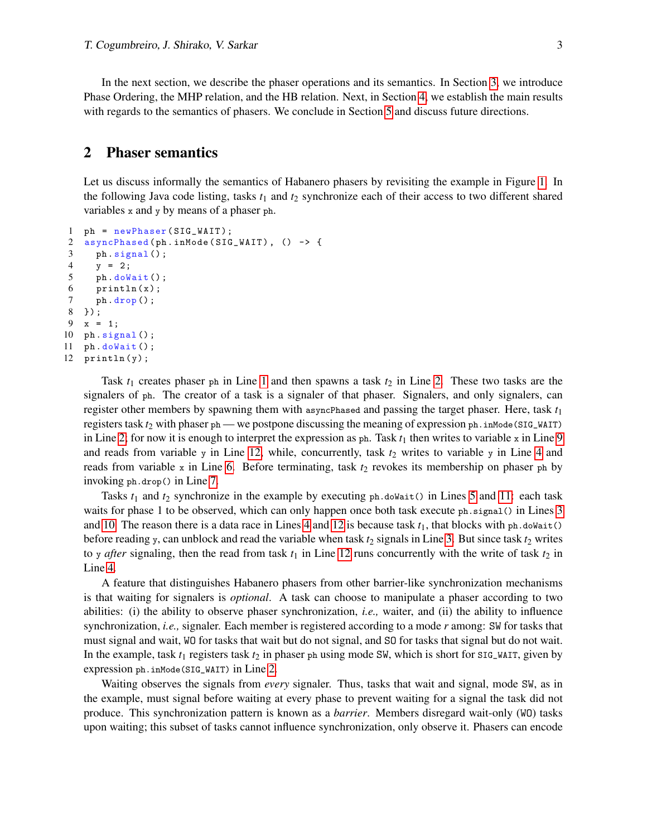In the next section, we describe the phaser operations and its semantics. In Section [3,](#page-4-0) we introduce Phase Ordering, the MHP relation, and the HB relation. Next, in Section [4,](#page-5-1) we establish the main results with regards to the semantics of phasers. We conclude in Section [5](#page-6-1) and discuss future directions.

## 2 Phaser semantics

Let us discuss informally the semantics of Habanero phasers by revisiting the example in Figure [1.](#page-1-0) In the following Java code listing, tasks  $t_1$  and  $t_2$  synchronize each of their access to two different shared variables x and y by means of a phaser ph.

```
1 ph = newPhaser ( SIG_WAIT ) ;
2 asyncPhased (ph. inMode (SIG_WAIT), () -> {
3 ph . signal () ;
4 \t y = 2;5 ph . doWait () ;
6 println(x);
7 ph. drop();
8 }) ;
9 \times = 1;
10 ph . signal () ;
11 ph . doWait () ;
12 println(y);
```
<span id="page-2-10"></span><span id="page-2-8"></span><span id="page-2-3"></span><span id="page-2-2"></span>Task  $t_1$  creates phaser ph in Line [1](#page-2-0) and then spawns a task  $t_2$  in Line [2.](#page-2-1) These two tasks are the signalers of ph. The creator of a task is a signaler of that phaser. Signalers, and only signalers, can register other members by spawning them with asyncPhased and passing the target phaser. Here, task *t*<sup>1</sup> registers task  $t_2$  with phaser ph — we postpone discussing the meaning of expression ph. inMode(SIG\_WAIT) in Line [2;](#page-2-1) for now it is enough to interpret the expression as  $ph$ . Task  $t_1$  then writes to variable  $x$  in Line [9](#page-2-2) and reads from variable y in Line [12,](#page-2-3) while, concurrently, task  $t_2$  writes to variable y in Line [4](#page-2-4) and reads from variable x in Line [6.](#page-2-5) Before terminating, task  $t_2$  revokes its membership on phaser ph by invoking ph.drop() in Line [7.](#page-2-6)

Tasks  $t_1$  and  $t_2$  synchronize in the example by executing  $ph.doblait()$  in Lines [5](#page-2-7) and [11:](#page-2-8) each task waits for phase 1 to be observed, which can only happen once both task execute ph.signal() in Lines [3](#page-2-9) and [10.](#page-2-10) The reason there is a data race in Lines [4](#page-2-4) and [12](#page-2-3) is because task  $t_1$ , that blocks with ph.doWait() before reading y, can unblock and read the variable when task  $t_2$  signals in Line [3.](#page-2-9) But since task  $t_2$  writes to y *after* signaling, then the read from task  $t_1$  in Line [12](#page-2-3) runs concurrently with the write of task  $t_2$  in Line [4.](#page-2-4)

A feature that distinguishes Habanero phasers from other barrier-like synchronization mechanisms is that waiting for signalers is *optional*. A task can choose to manipulate a phaser according to two abilities: (i) the ability to observe phaser synchronization, *i.e.,* waiter, and (ii) the ability to influence synchronization, *i.e.,* signaler. Each member is registered according to a mode *r* among: SW for tasks that must signal and wait, WO for tasks that wait but do not signal, and SO for tasks that signal but do not wait. In the example, task  $t_1$  registers task  $t_2$  in phaser  $p$ h using mode SW, which is short for  $\text{SiG\_WAIT}$ , given by expression ph.inMode(SIG\_WAIT) in Line [2.](#page-2-1)

Waiting observes the signals from *every* signaler. Thus, tasks that wait and signal, mode SW, as in the example, must signal before waiting at every phase to prevent waiting for a signal the task did not produce. This synchronization pattern is known as a *barrier*. Members disregard wait-only (WO) tasks upon waiting; this subset of tasks cannot influence synchronization, only observe it. Phasers can encode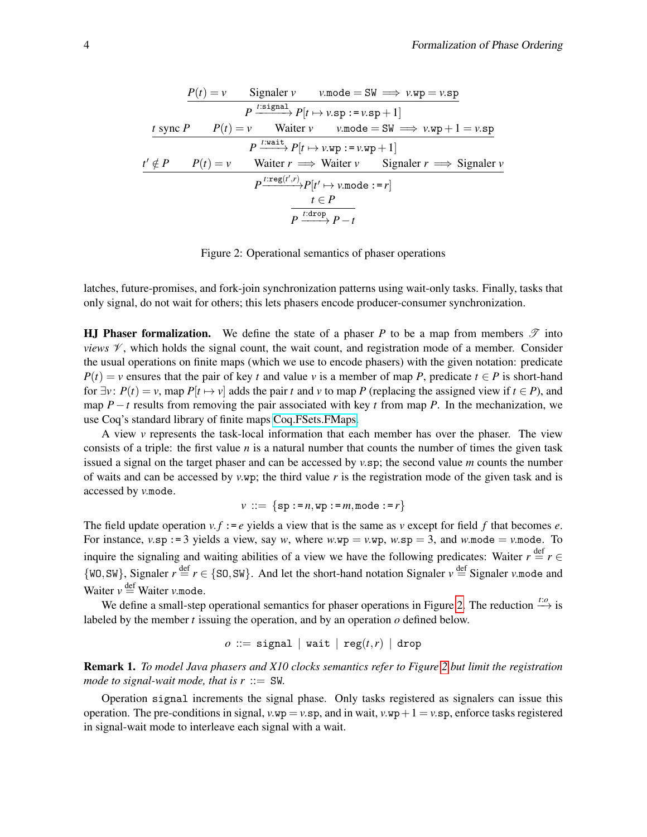<span id="page-3-0"></span>
$$
\frac{P(t) = v \qquad \text{Signaler } v \qquad v \text{.mode} = \text{SW} \Longrightarrow v \text{.wp} = v \text{.sp}}{P \xrightarrow{t : \text{signal}} P[t \mapsto v \text{.sp} := v \text{.sp} + 1]}
$$
\n
$$
\frac{t \text{ sync } P \qquad P(t) = v \qquad \text{Walter } v \qquad v \text{.mode} = \text{SW} \Longrightarrow v \text{.wp} + 1 = v \text{.sp}}{P \xrightarrow{t : \text{wait}} P[t \mapsto v \text{.wp} := v \text{.wp} + 1]}
$$
\n
$$
\frac{t' \notin P \qquad P(t) = v \qquad \text{Walter } r \Longrightarrow \text{Walter } v \qquad \text{Signaler } r \Longrightarrow \text{Signaler } v}
$$
\n
$$
P \xrightarrow{t : \text{reg}(t',r)} P[t' \mapsto v \text{.mode} := r]
$$
\n
$$
\frac{t \in P}{P \xrightarrow{t : \text{drop } P - t}}
$$

Figure 2: Operational semantics of phaser operations

latches, future-promises, and fork-join synchronization patterns using wait-only tasks. Finally, tasks that only signal, do not wait for others; this lets phasers encode producer-consumer synchronization.

**HJ Phaser formalization.** We define the state of a phaser P to be a map from members  $\mathcal{T}$  into *views*  $V$ , which holds the signal count, the wait count, and registration mode of a member. Consider the usual operations on finite maps (which we use to encode phasers) with the given notation: predicate  $P(t) = v$  ensures that the pair of key *t* and value *v* is a member of map *P*, predicate  $t \in P$  is short-hand for  $\exists v$ :  $P(t) = v$ , map  $P[t \mapsto v]$  adds the pair *t* and *v* to map P (replacing the assigned view if *t* ∈ P), and map  $P - t$  results from removing the pair associated with key  $t$  from map  $P$ . In the mechanization, we use Coq's standard library of finite maps [Coq.FSets.FMaps.](https://coq.inria.fr/library/Coq.FSets.FMaps.html)

A view *v* represents the task-local information that each member has over the phaser. The view consists of a triple: the first value *n* is a natural number that counts the number of times the given task issued a signal on the target phaser and can be accessed by *v*.sp; the second value *m* counts the number of waits and can be accessed by  $v.\mathbf{wp}$ ; the third value  $r$  is the registration mode of the given task and is accessed by *v*.mode.

$$
v ::= \{sp := n, wp := m, mode := r\}
$$

The field update operation  $v \cdot f := e$  yields a view that is the same as  $v$  except for field  $f$  that becomes  $e$ . For instance,  $v.\text{sp} := 3$  yields a view, say *w*, where  $w.\text{wp} = v.\text{wp}$ ,  $w.\text{sp} = 3$ , and  $w.\text{mode} = v.\text{mode}$ . To inquire the signaling and waiting abilities of a view we have the following predicates: Waiter  $r \stackrel{\text{def}}{=} r \in$  $\{W_0, SW\}$ , Signaler  $r \stackrel{\text{def}}{=} r \in \{SO, SW\}$ . And let the short-hand notation Signaler  $v \stackrel{\text{def}}{=}$  Signaler *v*.mode and Waiter  $v =$  Waiter *v*.mode.

We define a small-step operational semantics for phaser operations in Figure [2.](#page-3-0) The reduction  $\stackrel{t}{\longrightarrow}$  is labeled by the member *t* issuing the operation, and by an operation *o* defined below.

$$
o\ ::= \ \mathtt{signal}\ \ |\ \mathtt{wait}\ |\ \mathtt{reg}(t,r)\ |\ \mathtt{drop}
$$

Remark 1. *To model Java phasers and X10 clocks semantics refer to Figure [2](#page-3-0) but limit the registration mode to signal-wait mode, that is*  $r ::= SW$ *.* 

Operation signal increments the signal phase. Only tasks registered as signalers can issue this operation. The pre-conditions in signal,  $v \cdot wp = v \cdot sp$ , and in wait,  $v \cdot wp + 1 = v \cdot sp$ , enforce tasks registered in signal-wait mode to interleave each signal with a wait.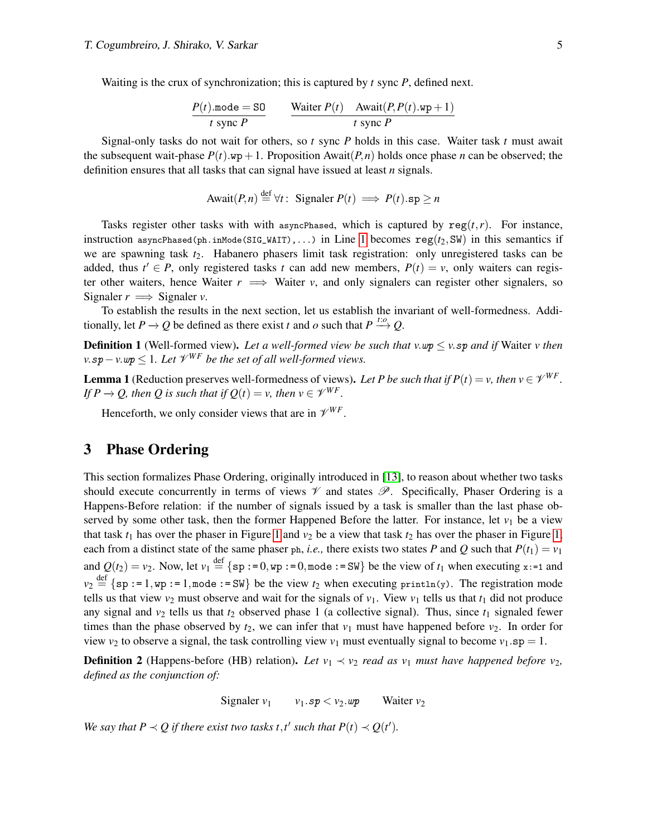Waiting is the crux of synchronization; this is captured by *t* sync *P*, defined next.

$$
\frac{P(t) \text{.mode} = \text{SO}}{t \text{ sync } P} \qquad \frac{\text{Waiter } P(t) \quad \text{Await}(P, P(t).wp+1)}{t \text{ sync } P}
$$

Signal-only tasks do not wait for others, so *t* sync *P* holds in this case. Waiter task *t* must await the subsequent wait-phase  $P(t)$ .wp + 1. Proposition Await $(P, n)$  holds once phase *n* can be observed; the definition ensures that all tasks that can signal have issued at least *n* signals.

$$
Await(P, n) \stackrel{\text{def}}{=} \forall t : \text{ Signature } P(t) \implies P(t).sp \ge n
$$

Tasks register other tasks with with asyncPhased, which is captured by  $reg(t,r)$ . For instance, instruction asyncPhased(ph.inMode(SIG\_WAIT),...) in Line [1](#page-2-0) becomes  $reg(t_2,SW)$  in this semantics if we are spawning task  $t_2$ . Habanero phasers limit task registration: only unregistered tasks can be added, thus  $t' \in P$ , only registered tasks *t* can add new members,  $P(t) = v$ , only waiters can register other waiters, hence Waiter  $r \implies$  Waiter  $v$ , and only signalers can register other signalers, so Signaler  $r \implies$  Signaler *v*.

To establish the results in the next section, let us establish the invariant of well-formedness. Additionally, let *P*  $\rightarrow$  *Q* be defined as there exist *t* and *o* such that *P*  $\stackrel{t:\phi}{\rightarrow} Q$ .

<span id="page-4-3"></span>Definition 1 (Well-formed view). *Let a well-formed view be such that v*.wp ≤ *v*.sp *and if* Waiter *v then*  $v$ .sp –  $v$ .wp  $\leq 1$ *. Let*  $\mathscr{V}^{WF}$  be the set of all well-formed views.

<span id="page-4-2"></span>**Lemma 1** (Reduction preserves well-formedness of views). Let P be such that if  $P(t) = v$ , then  $v \in \mathcal{V}^{WF}$ . *If*  $P \rightarrow Q$ , then Q is such that if  $Q(t) = v$ , then  $v \in \mathcal{V}^{WF}$ .

Henceforth, we only consider views that are in  $\mathcal{V}^{WF}$ .

## <span id="page-4-0"></span>3 Phase Ordering

This section formalizes Phase Ordering, originally introduced in [\[13\]](#page-7-0), to reason about whether two tasks should execute concurrently in terms of views  $\mathcal V$  and states  $\mathcal P$ . Specifically, Phaser Ordering is a Happens-Before relation: if the number of signals issued by a task is smaller than the last phase observed by some other task, then the former Happened Before the latter. For instance, let  $v_1$  be a view that task  $t_1$  has over the phaser in Figure [1](#page-1-0) and  $v_2$  be a view that task  $t_2$  has over the phaser in Figure [1,](#page-1-0) each from a distinct state of the same phaser ph, *i.e.*, there exists two states *P* and *Q* such that  $P(t_1) = v_1$ and  $Q(t_2) = v_2$ . Now, let  $v_1 \stackrel{\text{def}}{=} \{ \text{sp} : =0, \text{wp} : =0, \text{mode} : = \text{SW} \}$  be the view of  $t_1$  when executing x:=1 and  $v_2 \stackrel{\text{def}}{=} \{ \text{sp} : 1, \text{wp} : 1, \text{mode} : \text{sw} \}$  be the view  $t_2$  when executing println(y). The registration mode tells us that view  $v_2$  must observe and wait for the signals of  $v_1$ . View  $v_1$  tells us that  $t_1$  did not produce any signal and  $v_2$  tells us that  $t_2$  observed phase 1 (a collective signal). Thus, since  $t_1$  signaled fewer times than the phase observed by  $t_2$ , we can infer that  $v_1$  must have happened before  $v_2$ . In order for view  $v_2$  to observe a signal, the task controlling view  $v_1$  must eventually signal to become  $v_1$ .sp = 1.

<span id="page-4-4"></span>**Definition 2** (Happens-before (HB) relation). Let  $v_1 \prec v_2$  *read as*  $v_1$  *must have happened before*  $v_2$ *, defined as the conjunction of:*

Signaler  $v_1$   $v_1 \cdot sp < v_2 \cdot wp$  Waiter  $v_2$ 

<span id="page-4-1"></span>*We say that*  $P \prec Q$  *if there exist two tasks t,t' such that*  $P(t) \prec Q(t')$ *.*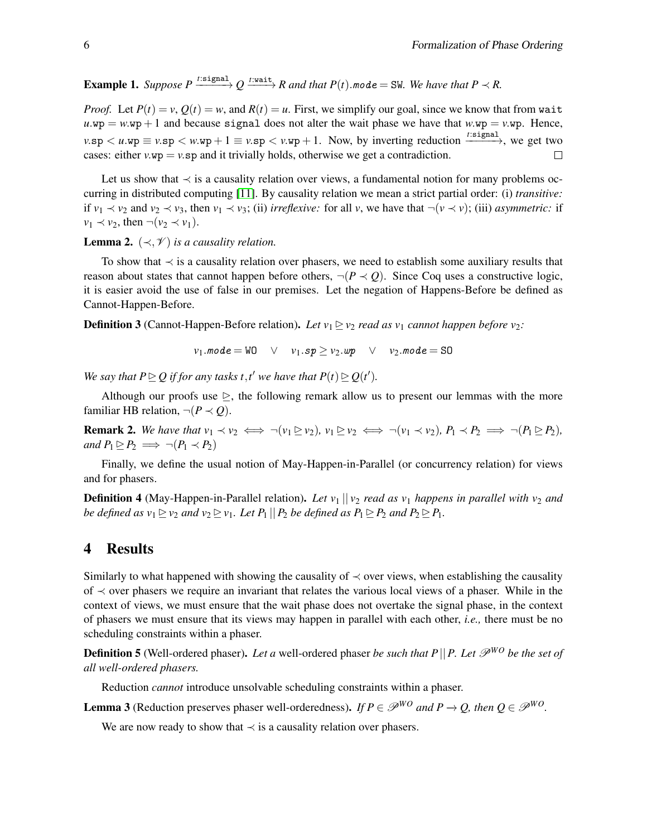**Example 1.** Suppose  $P \xrightarrow{t:signal} Q \xrightarrow{t:wait} R$  and that  $P(t)$ .mode = SW. We have that  $P \prec R$ .

*Proof.* Let  $P(t) = v$ ,  $Q(t) = w$ , and  $R(t) = u$ . First, we simplify our goal, since we know that from wait  $u \cdot wp = w \cdot wp + 1$  and because signal does not alter the wait phase we have that  $w \cdot wp = v \cdot wp$ . Hence,  $v.\text{sp} < u.\text{wp} \equiv v.\text{sp} < w.\text{wp} + 1 \equiv v.\text{sp} < v.\text{wp} + 1$ . Now, by inverting reduction  $\xrightarrow{t:\text{signal}}$ , we get two cases: either  $v \cdot w$  =  $v \cdot s$  and it trivially holds, otherwise we get a contradiction.  $\Box$ 

Let us show that  $\prec$  is a causality relation over views, a fundamental notion for many problems occurring in distributed computing [\[11\]](#page-7-14). By causality relation we mean a strict partial order: (i) *transitive:* if *v*<sub>1</sub> ≺ *v*<sub>2</sub> and *v*<sub>2</sub> ≺ *v*<sub>3</sub>, then *v*<sub>1</sub> ≺ *v*<sub>3</sub>; (ii) *irreflexive:* for all *v*, we have that ¬(*v* ≺ *v*); (iii) *asymmetric:* if  $v_1 \prec v_2$ , then  $\neg(v_2 \prec v_1)$ .

#### <span id="page-5-3"></span>**Lemma 2.**  $(\prec, \mathcal{V})$  *is a causality relation.*

To show that ≺ is a causality relation over phasers, we need to establish some auxiliary results that reason about states that cannot happen before others,  $\neg (P \prec Q)$ . Since Coq uses a constructive logic, it is easier avoid the use of false in our premises. Let the negation of Happens-Before be defined as Cannot-Happen-Before.

<span id="page-5-4"></span>**Definition 3** (Cannot-Happen-Before relation). Let  $v_1 \ge v_2$  *read as*  $v_1$  *cannot happen before*  $v_2$ *:* 

 $v_1$ .mode = WO  $\lor v_1$ .sp >  $v_2$ .wp  $\lor v_2$ .mode = SO

*We say that*  $P \subseteq Q$  *if for any tasks t,t' we have that*  $P(t) \subseteq Q(t')$ *.* 

Although our proofs use  $\triangleright$ , the following remark allow us to present our lemmas with the more familiar HB relation,  $\neg (P \prec Q)$ .

<span id="page-5-6"></span>**Remark 2.** We have that  $v_1 \prec v_2 \iff \neg(v_1 \triangleright v_2)$ ,  $v_1 \triangleright v_2 \iff \neg(v_1 \prec v_2)$ ,  $P_1 \prec P_2 \implies \neg(P_1 \triangleright P_2)$ , *and*  $P_1 \trianglerighteq P_2 \implies \neg(P_1 \prec P_2)$ 

Finally, we define the usual notion of May-Happen-in-Parallel (or concurrency relation) for views and for phasers.

**Definition 4** (May-Happen-in-Parallel relation). Let  $v_1 || v_2$  read as  $v_1$  happens in parallel with  $v_2$  and *be defined as*  $v_1 \ge v_2$  *and*  $v_2 \ge v_1$ *. Let*  $P_1 || P_2$  *be defined as*  $P_1 \ge P_2$  *and*  $P_2 \ge P_1$ *.* 

## <span id="page-5-1"></span>4 Results

Similarly to what happened with showing the causality of  $\prec$  over views, when establishing the causality of ≺ over phasers we require an invariant that relates the various local views of a phaser. While in the context of views, we must ensure that the wait phase does not overtake the signal phase, in the context of phasers we must ensure that its views may happen in parallel with each other, *i.e.,* there must be no scheduling constraints within a phaser.

<span id="page-5-5"></span>**Definition 5** (Well-ordered phaser). Let a well-ordered phaser *be such that*  $P||P$ . Let  $\mathcal{P}^{WO}$  *be the set of all well-ordered phasers.*

Reduction *cannot* introduce unsolvable scheduling constraints within a phaser.

<span id="page-5-2"></span>**Lemma 3** (Reduction preserves phaser well-orderedness). *If*  $P \in \mathcal{P}^{WO}$  *and*  $P \rightarrow Q$ *, then*  $Q \in \mathcal{P}^{WO}$ *.* 

<span id="page-5-0"></span>We are now ready to show that  $\prec$  is a causality relation over phasers.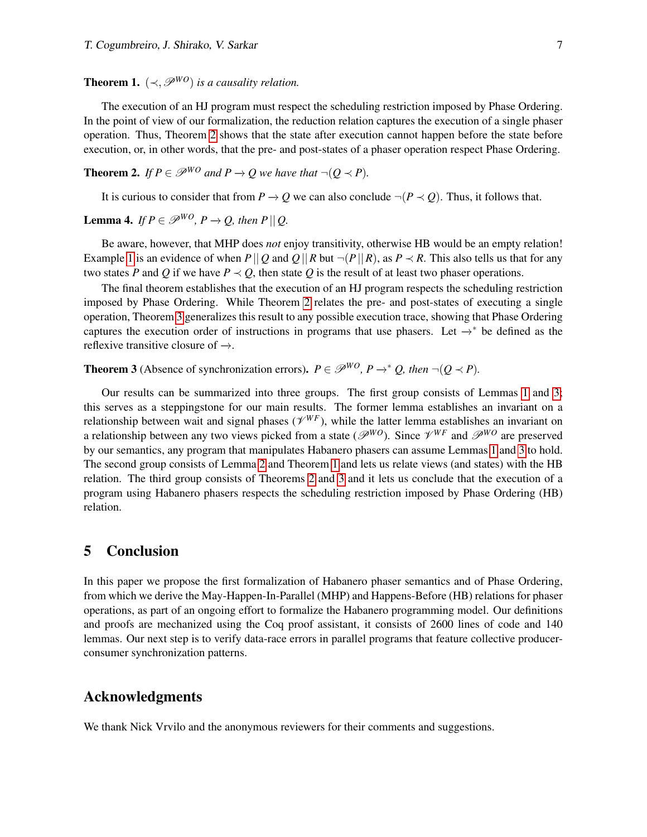**Theorem 1.**  $(\prec, \mathcal{P}^{WO})$  *is a causality relation.* 

The execution of an HJ program must respect the scheduling restriction imposed by Phase Ordering. In the point of view of our formalization, the reduction relation captures the execution of a single phaser operation. Thus, Theorem [2](#page-6-2) shows that the state after execution cannot happen before the state before execution, or, in other words, that the pre- and post-states of a phaser operation respect Phase Ordering.

<span id="page-6-2"></span>**Theorem 2.** *If*  $P \in \mathcal{P}^{WO}$  *and*  $P \rightarrow Q$  *we have that*  $\neg (Q \prec P)$ *.* 

It is curious to consider that from  $P \to Q$  we can also conclude  $\neg (P \prec Q)$ . Thus, it follows that.

<span id="page-6-3"></span>**Lemma 4.** *If*  $P \in \mathcal{P}^{WO}$ ,  $P \rightarrow Q$ , then  $P||Q$ .

Be aware, however, that MHP does *not* enjoy transitivity, otherwise HB would be an empty relation! Example [1](#page-4-1) is an evidence of when  $P||Q$  and  $Q||R$  but  $\neg (P||R)$ , as  $P \prec R$ . This also tells us that for any two states *P* and *Q* if we have  $P \prec Q$ , then state *Q* is the result of at least two phaser operations.

The final theorem establishes that the execution of an HJ program respects the scheduling restriction imposed by Phase Ordering. While Theorem [2](#page-6-2) relates the pre- and post-states of executing a single operation, Theorem [3](#page-6-0) generalizes this result to any possible execution trace, showing that Phase Ordering captures the execution order of instructions in programs that use phasers. Let  $\rightarrow^*$  be defined as the reflexive transitive closure of  $\rightarrow$ .

<span id="page-6-0"></span>**Theorem 3** (Absence of synchronization errors).  $P \in \mathcal{P}^{WO}$ ,  $P \rightarrow^* Q$ , then  $\neg (Q \prec P)$ .

Our results can be summarized into three groups. The first group consists of Lemmas [1](#page-4-2) and [3;](#page-5-2) this serves as a steppingstone for our main results. The former lemma establishes an invariant on a relationship between wait and signal phases  $(\mathcal{V}^{WF})$ , while the latter lemma establishes an invariant on a relationship between any two views picked from a state ( $\mathscr{P}^{WO}$ ). Since  $\mathscr{V}^{WF}$  and  $\mathscr{P}^{WO}$  are preserved by our semantics, any program that manipulates Habanero phasers can assume Lemmas [1](#page-4-2) and [3](#page-5-2) to hold. The second group consists of Lemma [2](#page-5-3) and Theorem [1](#page-5-0) and lets us relate views (and states) with the HB relation. The third group consists of Theorems [2](#page-6-2) and [3](#page-6-0) and it lets us conclude that the execution of a program using Habanero phasers respects the scheduling restriction imposed by Phase Ordering (HB) relation.

### <span id="page-6-1"></span>5 Conclusion

In this paper we propose the first formalization of Habanero phaser semantics and of Phase Ordering, from which we derive the May-Happen-In-Parallel (MHP) and Happens-Before (HB) relations for phaser operations, as part of an ongoing effort to formalize the Habanero programming model. Our definitions and proofs are mechanized using the Coq proof assistant, it consists of 2600 lines of code and 140 lemmas. Our next step is to verify data-race errors in parallel programs that feature collective producerconsumer synchronization patterns.

### Acknowledgments

We thank Nick Vrvilo and the anonymous reviewers for their comments and suggestions.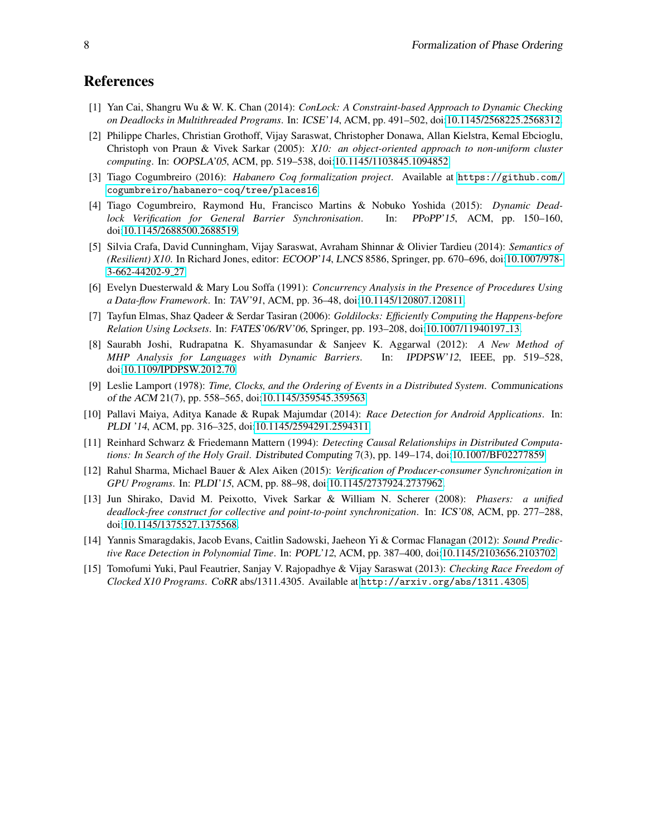## References

- <span id="page-7-6"></span>[1] Yan Cai, Shangru Wu & W. K. Chan (2014): *ConLock: A Constraint-based Approach to Dynamic Checking on Deadlocks in Multithreaded Programs*. In: ICSE'14, ACM, pp. 491–502, doi[:10.1145/2568225.2568312.](http://dx.doi.org/10.1145/2568225.2568312)
- <span id="page-7-1"></span>[2] Philippe Charles, Christian Grothoff, Vijay Saraswat, Christopher Donawa, Allan Kielstra, Kemal Ebcioglu, Christoph von Praun & Vivek Sarkar (2005): *X10: an object-oriented approach to non-uniform cluster computing*. In: OOPSLA'05, ACM, pp. 519–538, doi[:10.1145/1103845.1094852.](http://dx.doi.org/10.1145/1103845.1094852)
- <span id="page-7-13"></span>[3] Tiago Cogumbreiro (2016): *Habanero Coq formalization project*. Available at [https://github.com/](https://github.com/cogumbreiro/habanero-coq/tree/places16) [cogumbreiro/habanero-coq/tree/places16](https://github.com/cogumbreiro/habanero-coq/tree/places16).
- <span id="page-7-2"></span>[4] Tiago Cogumbreiro, Raymond Hu, Francisco Martins & Nobuko Yoshida (2015): *Dynamic Deadlock Verification for General Barrier Synchronisation*. In: PPoPP'15, ACM, pp. 150–160, doi[:10.1145/2688500.2688519.](http://dx.doi.org/10.1145/2688500.2688519)
- <span id="page-7-10"></span>[5] Silvia Crafa, David Cunningham, Vijay Saraswat, Avraham Shinnar & Olivier Tardieu (2014): *Semantics of (Resilient) X10*. In Richard Jones, editor: ECOOP'14, LNCS 8586, Springer, pp. 670–696, doi[:10.1007/978-](http://dx.doi.org/10.1007/978-3-662-44202-9_27) [3-662-44202-9](http://dx.doi.org/10.1007/978-3-662-44202-9_27) 27.
- <span id="page-7-4"></span>[6] Evelyn Duesterwald & Mary Lou Soffa (1991): *Concurrency Analysis in the Presence of Procedures Using a Data-flow Framework*. In: TAV'91, ACM, pp. 36–48, doi[:10.1145/120807.120811.](http://dx.doi.org/10.1145/120807.120811)
- <span id="page-7-7"></span>[7] Tayfun Elmas, Shaz Qadeer & Serdar Tasiran (2006): *Goldilocks: Efficiently Computing the Happens-before Relation Using Locksets*. In: FATES'06/RV'06, Springer, pp. 193–208, doi[:10.1007/11940197](http://dx.doi.org/10.1007/11940197_13) 13.
- <span id="page-7-12"></span>[8] Saurabh Joshi, Rudrapatna K. Shyamasundar & Sanjeev K. Aggarwal (2012): *A New Method of MHP Analysis for Languages with Dynamic Barriers*. In: IPDPSW'12, IEEE, pp. 519–528, doi[:10.1109/IPDPSW.2012.70.](http://dx.doi.org/10.1109/IPDPSW.2012.70)
- <span id="page-7-3"></span>[9] Leslie Lamport (1978): *Time, Clocks, and the Ordering of Events in a Distributed System*. Communications of the ACM 21(7), pp. 558–565, doi[:10.1145/359545.359563.](http://dx.doi.org/10.1145/359545.359563)
- <span id="page-7-8"></span>[10] Pallavi Maiya, Aditya Kanade & Rupak Majumdar (2014): *Race Detection for Android Applications*. In: PLDI '14, ACM, pp. 316–325, doi[:10.1145/2594291.2594311.](http://dx.doi.org/10.1145/2594291.2594311)
- <span id="page-7-14"></span>[11] Reinhard Schwarz & Friedemann Mattern (1994): *Detecting Causal Relationships in Distributed Computations: In Search of the Holy Grail*. Distributed Computing 7(3), pp. 149–174, doi[:10.1007/BF02277859.](http://dx.doi.org/10.1007/BF02277859)
- <span id="page-7-5"></span>[12] Rahul Sharma, Michael Bauer & Alex Aiken (2015): *Verification of Producer-consumer Synchronization in GPU Programs*. In: PLDI'15, ACM, pp. 88–98, doi[:10.1145/2737924.2737962.](http://dx.doi.org/10.1145/2737924.2737962)
- <span id="page-7-0"></span>[13] Jun Shirako, David M. Peixotto, Vivek Sarkar & William N. Scherer (2008): *Phasers: a unified deadlock-free construct for collective and point-to-point synchronization*. In: ICS'08, ACM, pp. 277–288, doi[:10.1145/1375527.1375568.](http://dx.doi.org/10.1145/1375527.1375568)
- <span id="page-7-9"></span>[14] Yannis Smaragdakis, Jacob Evans, Caitlin Sadowski, Jaeheon Yi & Cormac Flanagan (2012): *Sound Predictive Race Detection in Polynomial Time*. In: POPL'12, ACM, pp. 387–400, doi[:10.1145/2103656.2103702.](http://dx.doi.org/10.1145/2103656.2103702)
- <span id="page-7-11"></span>[15] Tomofumi Yuki, Paul Feautrier, Sanjay V. Rajopadhye & Vijay Saraswat (2013): *Checking Race Freedom of Clocked X10 Programs*. CoRR abs/1311.4305. Available at <http://arxiv.org/abs/1311.4305>.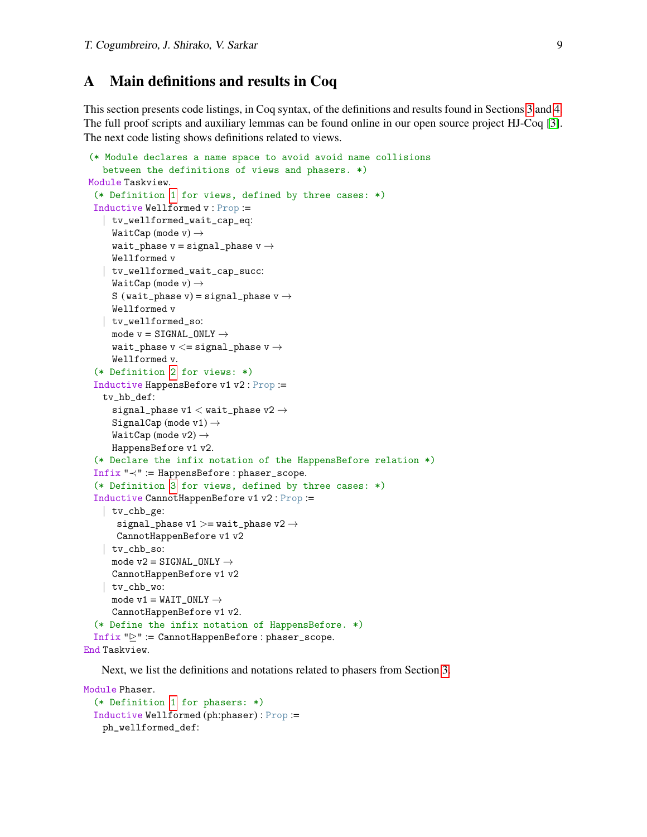## A Main definitions and results in Coq

This section presents code listings, in Coq syntax, of the definitions and results found in Sections [3](#page-4-0) and [4.](#page-5-1) The full proof scripts and auxiliary lemmas can be found online in our open source project HJ-Coq [\[3\]](#page-7-13). The next code listing shows definitions related to views.

```
(* Module declares a name space to avoid avoid name collisions
   between the definitions of views and phasers. *)
 Module Taskview.
  (* Definition 1 for views, defined by three cases: *)
 Inductive Wellformed v : Prop :=
   | tv_wellformed_wait_cap_eq:
     WaitCap (mode v) \rightarrowwait_phase v = signal_phase v \rightarrowWellformed v
   | tv_wellformed_wait_cap_succ:
     WaitCap (mode v) \rightarrowS (wait_phase v) = signal_phase v \rightarrowWellformed v
   | tv_wellformed_so:
     mode v = SIGNAL_ONLY \rightarrowwait_phase v \leq v signal_phase v \rightarrowWellformed v.
  (* Definition 2 for views: *)
  Inductive HappensBefore v1 v2 : Prop :=
   tv_hb_def:
      signal_phase v1 < wait_phase v2 \rightarrowSignalCap (mode v1) \rightarrowWaitCap (mode v2) \rightarrowHappensBefore v1 v2.
  (* Declare the infix notation of the HappensBefore relation *)
  Infix "≺" := HappensBefore : phaser_scope.
  (* Definition 3 for views, defined by three cases: *)
  Inductive CannotHappenBefore v1 v2 : Prop :=
   | tv_chb_ge:
       signal_phase v1 >= wait_phase v2 \rightarrowCannotHappenBefore v1 v2
    | tv_chb_so:
     mode v2 = SIGNAL_ONLY \rightarrowCannotHappenBefore v1 v2
   | tv_chb_wo:
     mode v1 = WAIT_ONLY \rightarrowCannotHappenBefore v1 v2.
  (* Define the infix notation of HappensBefore. *)
  Infix "P" := \texttt{CamotHappenBefore}: phaser_scope.
End Taskview.
```
Next, we list the definitions and notations related to phasers from Section [3.](#page-4-0)

```
Module Phaser.
 (* Definition 1 for phasers: *)
 Inductive Wellformed (ph:phaser) : Prop :=
   ph_wellformed_def:
```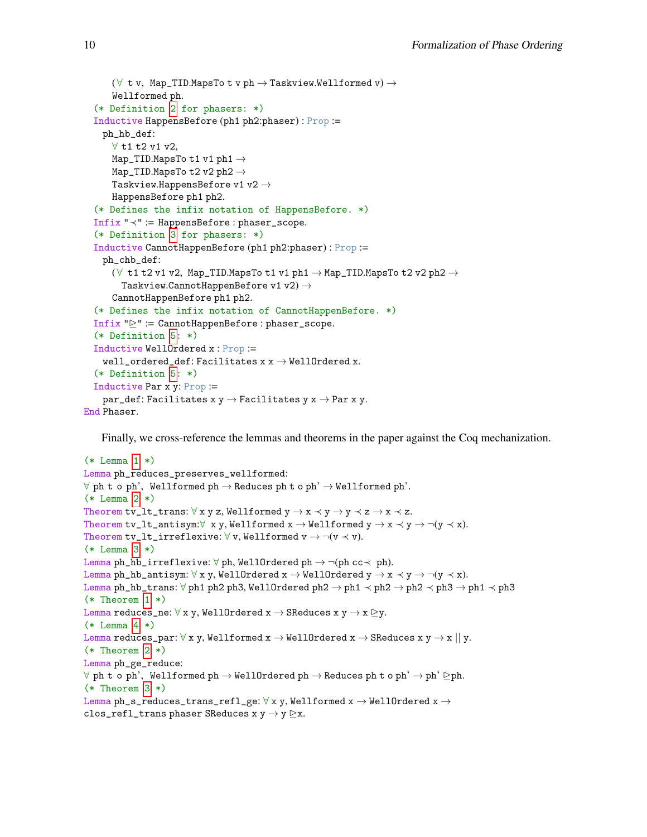```
(\forall t v, Map_TID.MapsTo t v ph \rightarrow Taskview.Wellformed v) \rightarrowWellformed ph.
  (* Definition 2 for phasers: *)
  Inductive HappensBefore (ph1 ph2:phaser) : Prop :=
    ph_hb_def:
      ∀ t1 t2 v1 v2,
      Map_TID.MapsTo t1 v1 ph1 →
      <code>Map_TID</code>.<br>MapsTo t2 v2 <code>ph2</code> \rightarrowTaskview.HappensBefore v1 v2 \rightarrowHappensBefore ph1 ph2.
  (* Defines the infix notation of HappensBefore. *)
  Infix "≺" := HappensBefore : phaser_scope.
  (* Definition 3 for phasers: *)
  Inductive CannotHappenBefore (ph1 ph2:phaser) : Prop :=
    ph_chb_def:
      (\forall t1 t2 v1 v2, Map_TID.MapsTo t1 v1 ph1 \rightarrow Map_TID.MapsTo t2 v2 ph2 \rightarrowTaskview.CannotHappenBefore v1 v2) \rightarrowCannotHappenBefore ph1 ph2.
  (* Defines the infix notation of CannotHappenBefore. *)
  Infix "D" := \texttt{CannotHappenBefore : phaser_score.}(* Definition 5: *)
  Inductive WellOrdered x : Prop :=
    <code>well_ordered_def:Facilitates</code> x \texttt{x} \rightarrow \texttt{WellOrdered} x.
  (* Definition 5: *)
  Inductive Par x y: Prop :=
    par_def: Facilitates x y \rightarrow Facilitates y x \rightarrow Par x y.
End Phaser.
```
Finally, we cross-reference the lemmas and theorems in the paper against the Coq mechanization.

```
(* Lemma 1 *)
Lemma ph_reduces_preserves_wellformed:
\forall ph t o ph', Wellformed ph \rightarrow Reduces ph t o ph' \rightarrow Wellformed ph'.
(* Lemma 2 *)
Theorem tv_lt_trans: \forall x y z, Wellformed y \rightarrow x \prec y \rightarrow y \prec z \rightarrow x \prec z.
Theorem tv_lt_antisym:\forall x y, Wellformed x \rightarrow Wellformed y \rightarrow x \prec y \rightarrow \neg(y \prec x).
Theorem tv_lt_irreflexive: \forall v, Wellformed v \rightarrow \neg(v \prec v).
(* Lemma 3 *)
Lemma ph_hb_irreflexive: \forall ph, WellOrdered ph \rightarrow \neg(ph cc\prec ph).
Lemma ph_hb_antisym: \forall x y, WellOrdered x \rightarrow WellOrdered y \rightarrow x \prec y \rightarrow \neg(y \prec x).
Lemma ph_hb_trans: \forall ph1 ph2 ph3, WellOrdered ph2 → ph1 \prec ph2 \rightarrow ph2 \prec ph3 \rightarrow ph1 \prec ph3
(* Theorem 1 *)
Lemma reduces_ne: \forall x y, WellOrdered x \rightarrow SReduces x y \rightarrow x \triangleright y.
(* Lemma 4 *)
Lemma reduces_par: \forall x y, Wellformed x \rightarrow WellOrdered x \rightarrow SReduces x y \rightarrow x || y.
(* Theorem 2 *)
Lemma ph_ge_reduce:
\forall ph t o ph', Wellformed ph \rightarrow WellOrdered ph \rightarrow Reduces ph t o ph' \rightarrow ph' \trianglerightph.
(* Theorem 3 *)
Lemma ph_s_reduces_trans_refl_ge: \forall x y, Wellformed x \rightarrow WellOrdered x \rightarrowclos_refl_trans phaser SReduces x y \rightarrow y \triangleright x.
```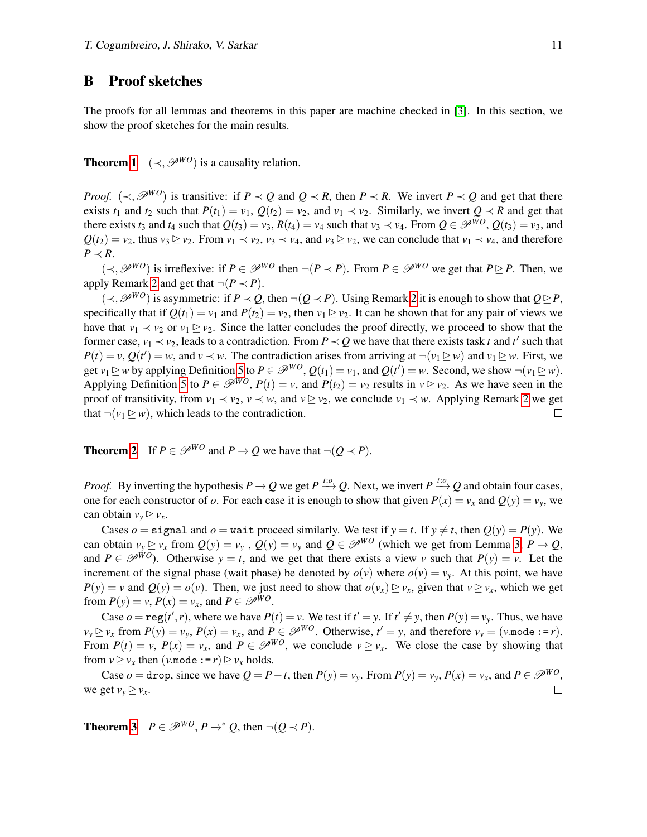## B Proof sketches

The proofs for all lemmas and theorems in this paper are machine checked in [\[3\]](#page-7-13). In this section, we show the proof sketches for the main results.

**Theorem [1](#page-5-0)** ( $\prec$ ,  $\mathcal{P}^{WO}$ ) is a causality relation.

*Proof.* ( $\prec$ ,  $\mathscr{P}^{WO}$ ) is transitive: if  $P \prec Q$  and  $Q \prec R$ , then  $P \prec R$ . We invert  $P \prec Q$  and get that there exists  $t_1$  and  $t_2$  such that  $P(t_1) = v_1$ ,  $Q(t_2) = v_2$ , and  $v_1 \prec v_2$ . Similarly, we invert  $Q \prec R$  and get that there exists  $t_3$  and  $t_4$  such that  $Q(t_3) = v_3$ ,  $R(t_4) = v_4$  such that  $v_3 \prec v_4$ . From  $Q \in \mathcal{P}^{WO}$ ,  $Q(t_3) = v_3$ , and  $Q(t_2) = v_2$ , thus  $v_3 \ge v_2$ . From  $v_1 \prec v_2$ ,  $v_3 \prec v_4$ , and  $v_3 \ge v_2$ , we can conclude that  $v_1 \prec v_4$ , and therefore  $P$   $\prec$  *R*.

 $(\prec, \mathcal{P}^{WO})$  is irreflexive: if *P* ∈  $\mathcal{P}^{WO}$  then  $\neg (P \prec P)$ . From  $P \in \mathcal{P}^{WO}$  we get that  $P \triangleright P$ . Then, we apply Remark [2](#page-5-6) and get that  $\neg (P \prec P)$ .

 $(\prec, \mathcal{P}^{WO})$  is asymmetric: if *P* ≺ *Q*, then ¬(*Q* ≺ *P*). Using Remark [2](#page-5-6) it is enough to show that  $Q \triangleright P$ , specifically that if  $Q(t_1) = v_1$  and  $P(t_2) = v_2$ , then  $v_1 \ge v_2$ . It can be shown that for any pair of views we have that  $v_1 \prec v_2$  or  $v_1 \rhd v_2$ . Since the latter concludes the proof directly, we proceed to show that the former case,  $v_1 \prec v_2$ , leads to a contradiction. From  $P \prec Q$  we have that there exists task *t* and *t'* such that  $P(t) = v$ ,  $Q(t') = w$ , and  $v \prec w$ . The contradiction arises from arriving at  $\neg (v_1 \triangleright w)$  and  $v_1 \triangleright w$ . First, we get  $v_1 \trianglerighteq w$  by applying Definition [5](#page-5-5) to  $P \in \mathcal{P}^{WO}$ ,  $Q(t_1) = v_1$ , and  $Q(t') = w$ . Second, we show  $\neg(v_1 \trianglerighteq w)$ . Applying Definition [5](#page-5-5) to  $P \in \mathcal{P}^{WO}$ ,  $P(t) = v$ , and  $P(t_2) = v_2$  results in  $v \ge v_2$ . As we have seen in the proof of transitivity, from  $v_1 \prec v_2$ ,  $v \prec w$ , and  $v \ge v_2$ , we conclude  $v_1 \prec w$ . Applying Remark [2](#page-5-6) we get that  $\neg(\nu_1 \trianglerighteq \nu)$ , which leads to the contradiction.  $\Box$ 

**Theorem [2](#page-6-2)** If  $P \in \mathcal{P}^{WO}$  and  $P \rightarrow O$  we have that  $\neg (O \prec P)$ .

*Proof.* By inverting the hypothesis  $P \to Q$  we get  $P \stackrel{t: o}{\longrightarrow} Q$ . Next, we invert  $P \stackrel{t: o}{\longrightarrow} Q$  and obtain four cases, one for each constructor of *o*. For each case it is enough to show that given  $P(x) = v_x$  and  $Q(y) = v_y$ , we can obtain  $v_y \ge v_x$ .

Cases  $o =$  signal and  $o =$  wait proceed similarly. We test if  $y = t$ . If  $y \neq t$ , then  $Q(y) = P(y)$ . We can obtain  $v_y \ge v_x$  from  $Q(y) = v_y$ ,  $Q(y) = v_y$  and  $Q \in \mathcal{P}^{WO}$  (which we get from Lemma [3,](#page-5-2)  $P \to Q$ , and  $P \in \mathcal{P}^{WO}$ ). Otherwise  $y = t$ , and we get that there exists a view *v* such that  $P(y) = v$ . Let the increment of the signal phase (wait phase) be denoted by  $o(v)$  where  $o(v) = v_v$ . At this point, we have  $P(y) = v$  and  $Q(y) = o(v)$ . Then, we just need to show that  $o(v_x) \ge v_x$ , given that  $v \ge v_x$ , which we get from  $P(y) = v$ ,  $P(x) = v_x$ , and  $P \in \mathcal{P}^{WO}$ .

Case  $o = \text{reg}(t', r)$ , where we have  $P(t) = v$ . We test if  $t' = y$ . If  $t' \neq y$ , then  $P(y) = v_y$ . Thus, we have  $v_y \trianglerighteq v_x$  from  $P(y) = v_y$ ,  $P(x) = v_x$ , and  $P \in \mathcal{P}^{WO}$ . Otherwise,  $t' = y$ , and therefore  $v_y = (v \mod 1 - e^x)$ . From  $P(t) = v$ ,  $P(x) = v_x$ , and  $P \in \mathcal{P}^{WO}$ , we conclude  $v \ge v_x$ . We close the case by showing that from  $v \ge v_x$  then (*v*.mode := *r*)  $\ge v_x$  holds.

Case  $o = \text{drop}$ , since we have  $Q = P - t$ , then  $P(y) = v_y$ . From  $P(y) = v_y$ ,  $P(x) = v_x$ , and  $P \in \mathcal{P}^{WO}$ , we get  $v_y \ge v_x$ .  $\Box$ 

**Theorem [3](#page-6-0)**  $P \in \mathcal{P}^{WO}, P \rightarrow^* Q$ , then  $\neg (Q \prec P)$ .